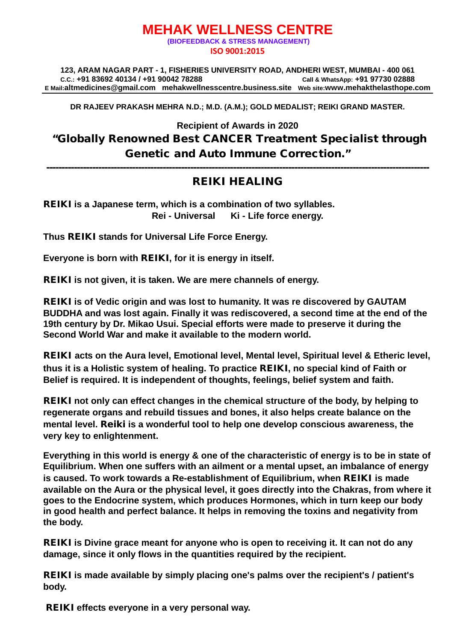#### **MEHAK WELLNESS CENTRE (BIOFEEDBACK & STRESS MANAGEMENT) ISO 9001:2015**

**123, ARAM NAGAR PART - 1, FISHERIES UNIVERSITY ROAD, ANDHERI WEST, MUMBAI - 400 061 C.C.: +91 83692 40134 / +91 90042 78288 Call & WhatsApp: +91 97730 02888 E Mail[:altmedicines@gmail.com](mailto:altmedicines@gmail.com) mehakwellnesscentre.business.site Web site:www.mehakthelasthope.com**

**DR RAJEEV PRAKASH MEHRA N.D.; M.D. (A.M.); GOLD MEDALIST; REIKI GRAND MASTER.** 

**Recipient of Awards in 2020** "Globally Renowned Best CANCER Treatment Specialist through Genetic and Auto Immune Correction."

-----------------------------------------------------------------------------------------------------------------------------

### REIKI HEALING

REIKI **is a Japanese term, which is a combination of two syllables. Rei - Universal Ki - Life force energy.**

**Thus** REIKI **stands for Universal Life Force Energy.**

**Everyone is born with** REIKI**, for it is energy in itself.**

REIKI **is not given, it is taken. We are mere channels of energy.**

REIKI **is of Vedic origin and was lost to humanity. It was re discovered by GAUTAM BUDDHA and was lost again. Finally it was rediscovered, a second time at the end of the 19th century by Dr. Mikao Usui. Special efforts were made to preserve it during the Second World War and make it available to the modern world.**

REIKI **acts on the Aura level, Emotional level, Mental level, Spiritual level & Etheric level, thus it is a Holistic system of healing. To practice** REIKI**, no special kind of Faith or Belief is required. It is independent of thoughts, feelings, belief system and faith.**

REIKI **not only can effect changes in the chemical structure of the body, by helping to regenerate organs and rebuild tissues and bones, it also helps create balance on the mental level.** Reiki **is a wonderful tool to help one develop conscious awareness, the very key to enlightenment.**

**Everything in this world is energy & one of the characteristic of energy is to be in state of Equilibrium. When one suffers with an ailment or a mental upset, an imbalance of energy is caused. To work towards a Re-establishment of Equilibrium, when** REIKI **is made available on the Aura or the physical level, it goes directly into the Chakras, from where it goes to the Endocrine system, which produces Hormones, which in turn keep our body in good health and perfect balance. It helps in removing the toxins and negativity from the body.**

REIKI **is Divine grace meant for anyone who is open to receiving it. It can not do any damage, since it only flows in the quantities required by the recipient.**

REIKI **is made available by simply placing one's palms over the recipient's / patient's body.**

REIKI **effects everyone in a very personal way.**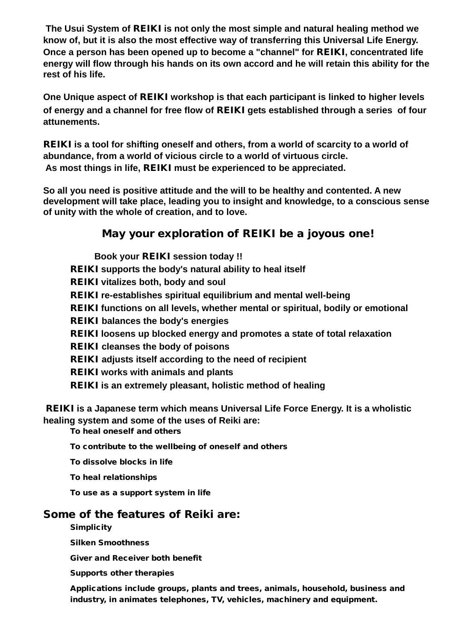**The Usui System of** REIKI **is not only the most simple and natural healing method we know of, but it is also the most effective way of transferring this Universal Life Energy. Once a person has been opened up to become a "channel" for** REIKI**, concentrated life energy will flow through his hands on its own accord and he will retain this ability for the rest of his life.**

**One Unique aspect of** REIKI **workshop is that each participant is linked to higher levels of energy and a channel for free flow of** REIKI **gets established through a series of four attunements.**

REIKI **is a tool for shifting oneself and others, from a world of scarcity to a world of abundance, from a world of vicious circle to a world of virtuous circle. As most things in life,** REIKI **must be experienced to be appreciated.**

**So all you need is positive attitude and the will to be healthy and contented. A new development will take place, leading you to insight and knowledge, to a conscious sense of unity with the whole of creation, and to love.**

# May your exploration of REIKI be a joyous one!

 **Book your** REIKI **session today !!** REIKI **supports the body's natural ability to heal itself** REIKI **vitalizes both, body and soul** REIKI **re-establishes spiritual equilibrium and mental well-being** REIKI **functions on all levels, whether mental or spiritual, bodily or emotional** REIKI **balances the body's energies** REIKI **loosens up blocked energy and promotes a state of total relaxation** REIKI **cleanses the body of poisons** REIKI **adjusts itself according to the need of recipient**  REIKI **works with animals and plants** REIKI **is an extremely pleasant, holistic method of healing** 

REIKI **is a Japanese term which means Universal Life Force Energy. It is a wholistic healing system and some of the uses of Reiki are:**

To heal oneself and others

To contribute to the wellbeing of oneself and others

To dissolve blocks in life

To heal relationships

To use as a support system in life

## Some of the features of Reiki are:

**Simplicity** 

Silken Smoothness

Giver and Receiver both benefit

Supports other therapies

Applications include groups, plants and trees, animals, household, business and industry, in animates telephones, TV, vehicles, machinery and equipment.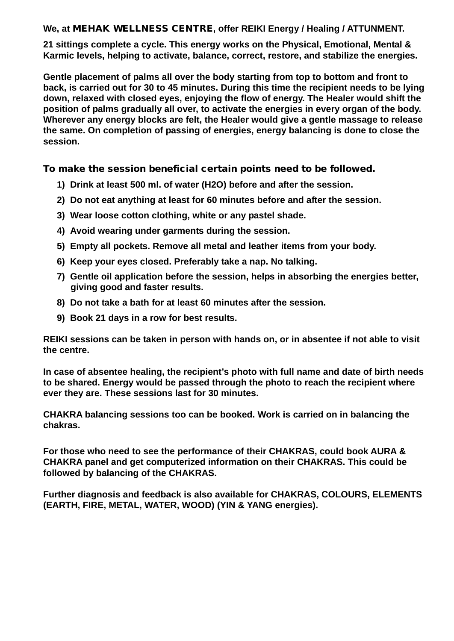**We, at** MEHAK WELLNESS CENTRE**, offer REIKI Energy / Healing / ATTUNMENT.**

**21 sittings complete a cycle. This energy works on the Physical, Emotional, Mental & Karmic levels, helping to activate, balance, correct, restore, and stabilize the energies.** 

**Gentle placement of palms all over the body starting from top to bottom and front to back, is carried out for 30 to 45 minutes. During this time the recipient needs to be lying down, relaxed with closed eyes, enjoying the flow of energy. The Healer would shift the position of palms gradually all over, to activate the energies in every organ of the body. Wherever any energy blocks are felt, the Healer would give a gentle massage to release the same. On completion of passing of energies, energy balancing is done to close the session.**

To make the session beneficial certain points need to be followed.

- **1) Drink at least 500 ml. of water (H2O) before and after the session.**
- **2) Do not eat anything at least for 60 minutes before and after the session.**
- **3) Wear loose cotton clothing, white or any pastel shade.**
- **4) Avoid wearing under garments during the session.**
- **5) Empty all pockets. Remove all metal and leather items from your body.**
- **6) Keep your eyes closed. Preferably take a nap. No talking.**
- **7) Gentle oil application before the session, helps in absorbing the energies better, giving good and faster results.**
- **8) Do not take a bath for at least 60 minutes after the session.**
- **9) Book 21 days in a row for best results.**

**REIKI sessions can be taken in person with hands on, or in absentee if not able to visit the centre.** 

**In case of absentee healing, the recipient's photo with full name and date of birth needs to be shared. Energy would be passed through the photo to reach the recipient where ever they are. These sessions last for 30 minutes.**

**CHAKRA balancing sessions too can be booked. Work is carried on in balancing the chakras.**

**For those who need to see the performance of their CHAKRAS, could book AURA & CHAKRA panel and get computerized information on their CHAKRAS. This could be followed by balancing of the CHAKRAS.**

**Further diagnosis and feedback is also available for CHAKRAS, COLOURS, ELEMENTS (EARTH, FIRE, METAL, WATER, WOOD) (YIN & YANG energies).**